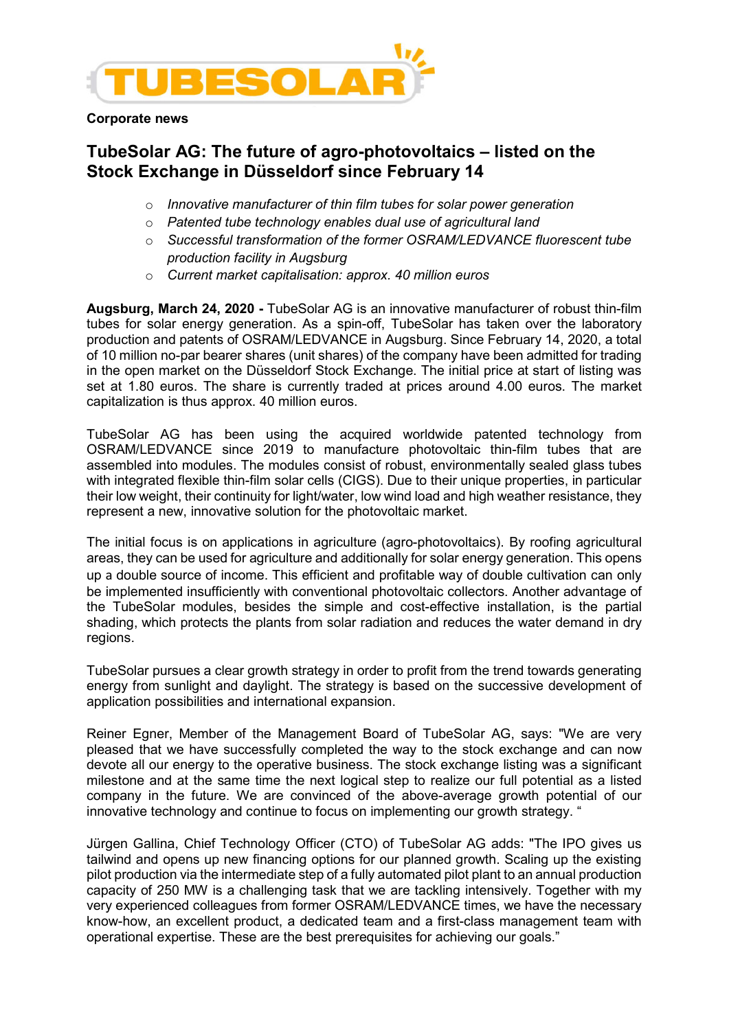

Corporate news

## TubeSolar AG: The future of agro-photovoltaics – listed on the Stock Exchange in Düsseldorf since February 14

- $\circ$  Innovative manufacturer of thin film tubes for solar power generation
- o Patented tube technology enables dual use of agricultural land
- o Successful transformation of the former OSRAM/LEDVANCE fluorescent tube production facility in Augsburg
- o Current market capitalisation: approx. 40 million euros

Augsburg, March 24, 2020 - TubeSolar AG is an innovative manufacturer of robust thin-film tubes for solar energy generation. As a spin-off, TubeSolar has taken over the laboratory production and patents of OSRAM/LEDVANCE in Augsburg. Since February 14, 2020, a total of 10 million no-par bearer shares (unit shares) of the company have been admitted for trading in the open market on the Düsseldorf Stock Exchange. The initial price at start of listing was set at 1.80 euros. The share is currently traded at prices around 4.00 euros. The market capitalization is thus approx. 40 million euros.

TubeSolar AG has been using the acquired worldwide patented technology from OSRAM/LEDVANCE since 2019 to manufacture photovoltaic thin-film tubes that are assembled into modules. The modules consist of robust, environmentally sealed glass tubes with integrated flexible thin-film solar cells (CIGS). Due to their unique properties, in particular their low weight, their continuity for light/water, low wind load and high weather resistance, they represent a new, innovative solution for the photovoltaic market.

The initial focus is on applications in agriculture (agro-photovoltaics). By roofing agricultural areas, they can be used for agriculture and additionally for solar energy generation. This opens up a double source of income. This efficient and profitable way of double cultivation can only be implemented insufficiently with conventional photovoltaic collectors. Another advantage of the TubeSolar modules, besides the simple and cost-effective installation, is the partial shading, which protects the plants from solar radiation and reduces the water demand in dry regions.

TubeSolar pursues a clear growth strategy in order to profit from the trend towards generating energy from sunlight and daylight. The strategy is based on the successive development of application possibilities and international expansion.

Reiner Egner, Member of the Management Board of TubeSolar AG, says: "We are very pleased that we have successfully completed the way to the stock exchange and can now devote all our energy to the operative business. The stock exchange listing was a significant milestone and at the same time the next logical step to realize our full potential as a listed company in the future. We are convinced of the above-average growth potential of our innovative technology and continue to focus on implementing our growth strategy. "

Jürgen Gallina, Chief Technology Officer (CTO) of TubeSolar AG adds: "The IPO gives us tailwind and opens up new financing options for our planned growth. Scaling up the existing pilot production via the intermediate step of a fully automated pilot plant to an annual production capacity of 250 MW is a challenging task that we are tackling intensively. Together with my very experienced colleagues from former OSRAM/LEDVANCE times, we have the necessary know-how, an excellent product, a dedicated team and a first-class management team with operational expertise. These are the best prerequisites for achieving our goals."